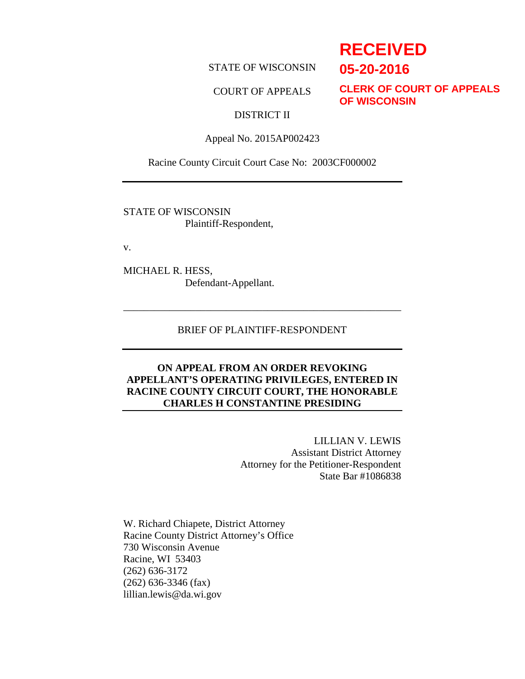STATE OF WISCONSIN

#### COURT OF APPEALS

**CLERK OF COURT OF APPEALS OF WISCONSIN**

## DISTRICT II

Appeal No. 2015AP002423

Racine County Circuit Court Case No: 2003CF000002

STATE OF WISCONSIN Plaintiff-Respondent,

v.

MICHAEL R. HESS, Defendant-Appellant.

#### BRIEF OF PLAINTIFF-RESPONDENT

\_\_\_\_\_\_\_\_\_\_\_\_\_\_\_\_\_\_\_\_\_\_\_\_\_\_\_\_\_\_\_\_\_\_\_\_\_\_\_\_\_\_\_\_\_\_\_\_\_\_\_\_\_\_

#### **ON APPEAL FROM AN ORDER REVOKING APPELLANT'S OPERATING PRIVILEGES, ENTERED IN RACINE COUNTY CIRCUIT COURT, THE HONORABLE CHARLES H CONSTANTINE PRESIDING**

LILLIAN V. LEWIS Assistant District Attorney Attorney for the Petitioner-Respondent State Bar #1086838

W. Richard Chiapete, District Attorney Racine County District Attorney's Office 730 Wisconsin Avenue Racine, WI 53403 (262) 636-3172 (262) 636-3346 (fax) lillian.lewis@da.wi.gov

## **RECEIVED**

**05-20-2016**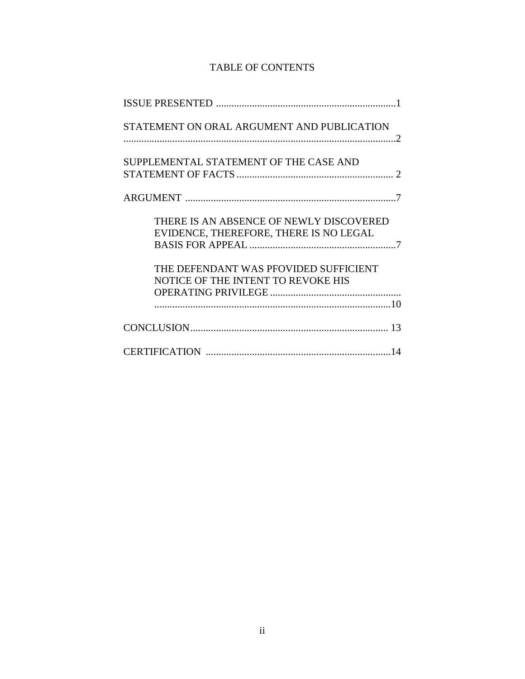## TABLE OF CONTENTS

| STATEMENT ON ORAL ARGUMENT AND PUBLICATION                                        |
|-----------------------------------------------------------------------------------|
| SUPPLEMENTAL STATEMENT OF THE CASE AND                                            |
|                                                                                   |
| THERE IS AN ABSENCE OF NEWLY DISCOVERED<br>EVIDENCE, THEREFORE, THERE IS NO LEGAL |
| THE DEFENDANT WAS PFOVIDED SUFFICIENT<br>NOTICE OF THE INTENT TO REVOKE HIS       |
|                                                                                   |
|                                                                                   |
|                                                                                   |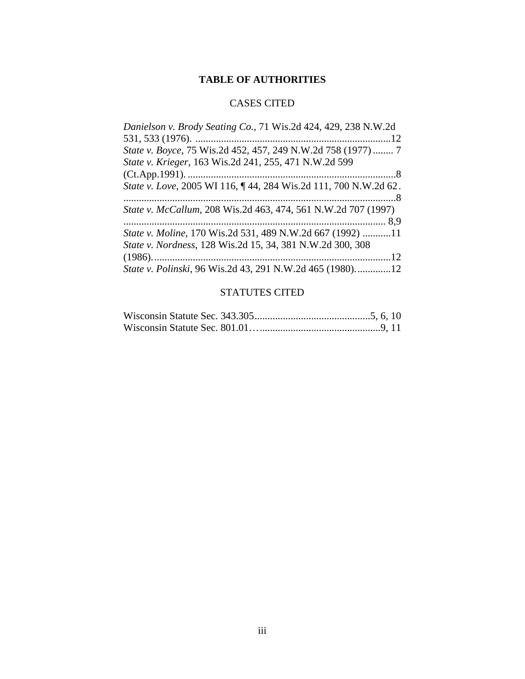## **TABLE OF AUTHORITIES**

## CASES CITED

| Danielson v. Brody Seating Co., 71 Wis.2d 424, 429, 238 N.W.2d    |
|-------------------------------------------------------------------|
| .12                                                               |
| State v. Boyce, 75 Wis.2d 452, 457, 249 N.W.2d 758 (1977)  7      |
| State v. Krieger, 163 Wis.2d 241, 255, 471 N.W.2d 599             |
|                                                                   |
| State v. Love, 2005 WI 116, ¶44, 284 Wis.2d 111, 700 N.W.2d 62.   |
|                                                                   |
| State v. McCallum, 208 Wis.2d 463, 474, 561 N.W.2d 707 (1997)     |
|                                                                   |
| <i>State v. Moline</i> , 170 Wis.2d 531, 489 N.W.2d 667 (1992) 11 |
| State v. Nordness, 128 Wis.2d 15, 34, 381 N.W.2d 300, 308         |
|                                                                   |
| State v. Polinski, 96 Wis.2d 43, 291 N.W.2d 465 (1980)12          |

## STATUTES CITED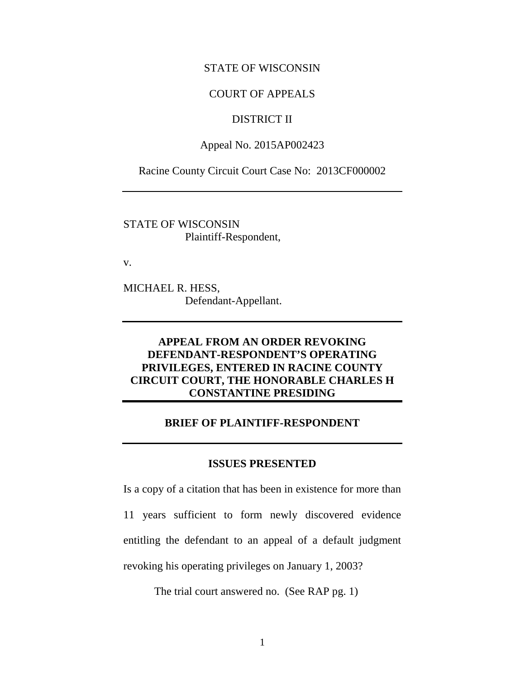#### STATE OF WISCONSIN

#### COURT OF APPEALS

### DISTRICT II

#### Appeal No. 2015AP002423

Racine County Circuit Court Case No: 2013CF000002

STATE OF WISCONSIN Plaintiff-Respondent,

v.

MICHAEL R. HESS, Defendant-Appellant.

## **APPEAL FROM AN ORDER REVOKING DEFENDANT-RESPONDENT'S OPERATING PRIVILEGES, ENTERED IN RACINE COUNTY CIRCUIT COURT, THE HONORABLE CHARLES H CONSTANTINE PRESIDING**

#### **BRIEF OF PLAINTIFF-RESPONDENT**

#### **ISSUES PRESENTED**

Is a copy of a citation that has been in existence for more than 11 years sufficient to form newly discovered evidence entitling the defendant to an appeal of a default judgment revoking his operating privileges on January 1, 2003?

The trial court answered no. (See RAP pg. 1)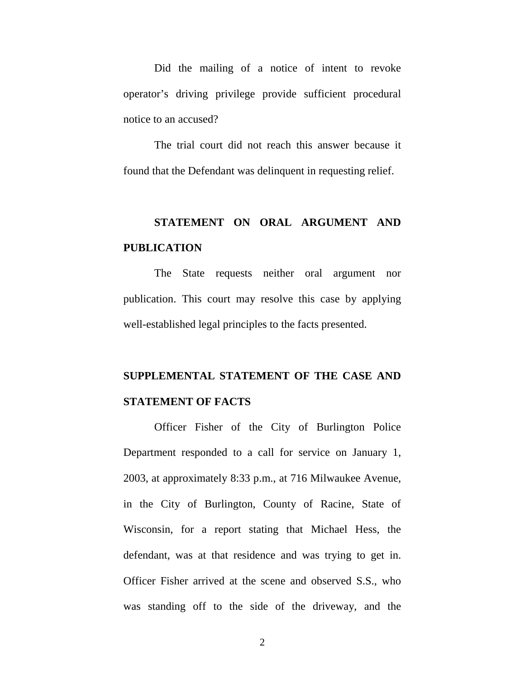Did the mailing of a notice of intent to revoke operator's driving privilege provide sufficient procedural notice to an accused?

The trial court did not reach this answer because it found that the Defendant was delinquent in requesting relief.

# **STATEMENT ON ORAL ARGUMENT AND PUBLICATION**

The State requests neither oral argument nor publication. This court may resolve this case by applying well-established legal principles to the facts presented.

## **SUPPLEMENTAL STATEMENT OF THE CASE AND STATEMENT OF FACTS**

Officer Fisher of the City of Burlington Police Department responded to a call for service on January 1, 2003, at approximately 8:33 p.m., at 716 Milwaukee Avenue, in the City of Burlington, County of Racine, State of Wisconsin, for a report stating that Michael Hess, the defendant, was at that residence and was trying to get in. Officer Fisher arrived at the scene and observed S.S., who was standing off to the side of the driveway, and the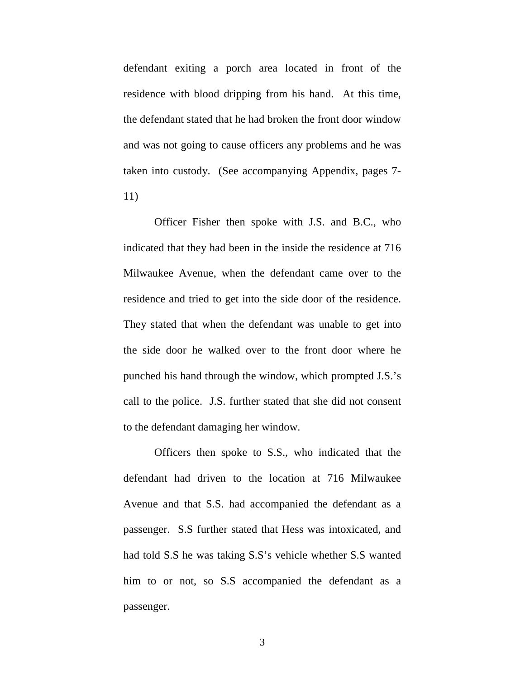defendant exiting a porch area located in front of the residence with blood dripping from his hand. At this time, the defendant stated that he had broken the front door window and was not going to cause officers any problems and he was taken into custody. (See accompanying Appendix, pages 7- 11)

Officer Fisher then spoke with J.S. and B.C., who indicated that they had been in the inside the residence at 716 Milwaukee Avenue, when the defendant came over to the residence and tried to get into the side door of the residence. They stated that when the defendant was unable to get into the side door he walked over to the front door where he punched his hand through the window, which prompted J.S.'s call to the police. J.S. further stated that she did not consent to the defendant damaging her window.

Officers then spoke to S.S., who indicated that the defendant had driven to the location at 716 Milwaukee Avenue and that S.S. had accompanied the defendant as a passenger. S.S further stated that Hess was intoxicated, and had told S.S he was taking S.S's vehicle whether S.S wanted him to or not, so S.S accompanied the defendant as a passenger.

3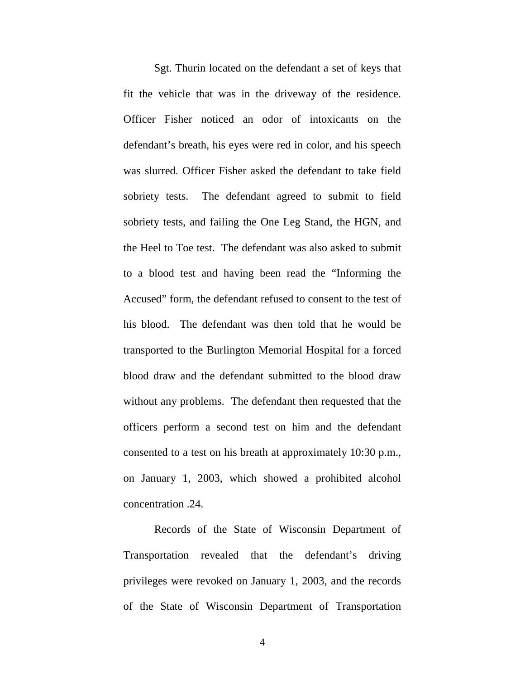Sgt. Thurin located on the defendant a set of keys that fit the vehicle that was in the driveway of the residence. Officer Fisher noticed an odor of intoxicants on the defendant's breath, his eyes were red in color, and his speech was slurred. Officer Fisher asked the defendant to take field sobriety tests. The defendant agreed to submit to field sobriety tests, and failing the One Leg Stand, the HGN, and the Heel to Toe test. The defendant was also asked to submit to a blood test and having been read the "Informing the Accused" form, the defendant refused to consent to the test of his blood. The defendant was then told that he would be transported to the Burlington Memorial Hospital for a forced blood draw and the defendant submitted to the blood draw without any problems. The defendant then requested that the officers perform a second test on him and the defendant consented to a test on his breath at approximately 10:30 p.m., on January 1, 2003, which showed a prohibited alcohol concentration .24.

 Records of the State of Wisconsin Department of Transportation revealed that the defendant's driving privileges were revoked on January 1, 2003, and the records of the State of Wisconsin Department of Transportation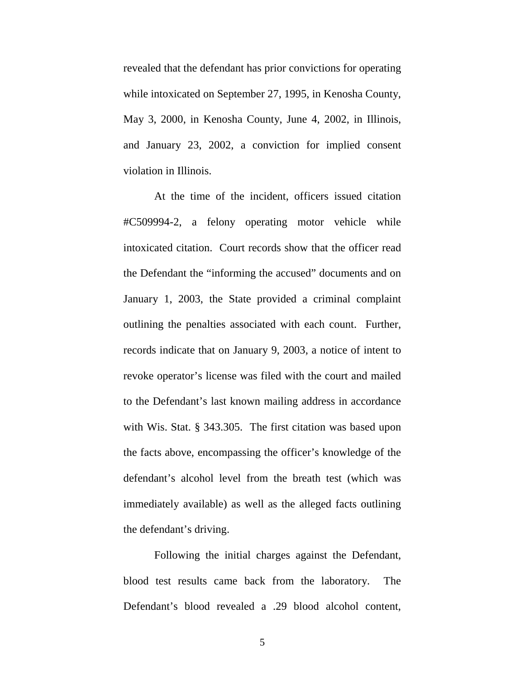revealed that the defendant has prior convictions for operating while intoxicated on September 27, 1995, in Kenosha County, May 3, 2000, in Kenosha County, June 4, 2002, in Illinois, and January 23, 2002, a conviction for implied consent violation in Illinois.

At the time of the incident, officers issued citation #C509994-2, a felony operating motor vehicle while intoxicated citation. Court records show that the officer read the Defendant the "informing the accused" documents and on January 1, 2003, the State provided a criminal complaint outlining the penalties associated with each count. Further, records indicate that on January 9, 2003, a notice of intent to revoke operator's license was filed with the court and mailed to the Defendant's last known mailing address in accordance with Wis. Stat. § 343.305. The first citation was based upon the facts above, encompassing the officer's knowledge of the defendant's alcohol level from the breath test (which was immediately available) as well as the alleged facts outlining the defendant's driving.

Following the initial charges against the Defendant, blood test results came back from the laboratory. The Defendant's blood revealed a .29 blood alcohol content,

5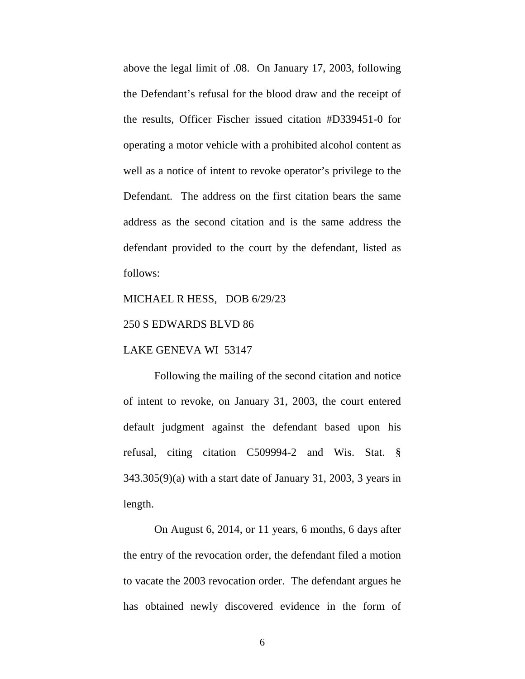above the legal limit of .08. On January 17, 2003, following the Defendant's refusal for the blood draw and the receipt of the results, Officer Fischer issued citation #D339451-0 for operating a motor vehicle with a prohibited alcohol content as well as a notice of intent to revoke operator's privilege to the Defendant. The address on the first citation bears the same address as the second citation and is the same address the defendant provided to the court by the defendant, listed as follows:

#### MICHAEL R HESS, DOB 6/29/23

#### 250 S EDWARDS BLVD 86

#### LAKE GENEVA WI 53147

Following the mailing of the second citation and notice of intent to revoke, on January 31, 2003, the court entered default judgment against the defendant based upon his refusal, citing citation C509994-2 and Wis. Stat. § 343.305(9)(a) with a start date of January 31, 2003, 3 years in length.

On August 6, 2014, or 11 years, 6 months, 6 days after the entry of the revocation order, the defendant filed a motion to vacate the 2003 revocation order. The defendant argues he has obtained newly discovered evidence in the form of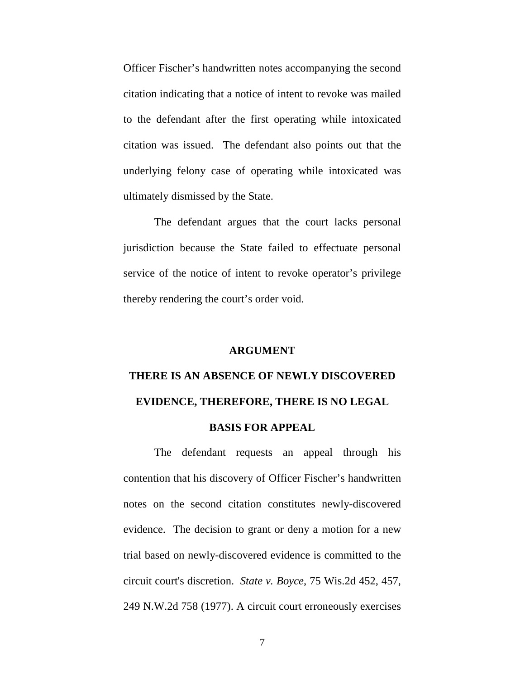Officer Fischer's handwritten notes accompanying the second citation indicating that a notice of intent to revoke was mailed to the defendant after the first operating while intoxicated citation was issued. The defendant also points out that the underlying felony case of operating while intoxicated was ultimately dismissed by the State.

The defendant argues that the court lacks personal jurisdiction because the State failed to effectuate personal service of the notice of intent to revoke operator's privilege thereby rendering the court's order void.

### **ARGUMENT**

# **THERE IS AN ABSENCE OF NEWLY DISCOVERED EVIDENCE, THEREFORE, THERE IS NO LEGAL**

#### **BASIS FOR APPEAL**

The defendant requests an appeal through his contention that his discovery of Officer Fischer's handwritten notes on the second citation constitutes newly-discovered evidence. The decision to grant or deny a motion for a new trial based on newly-discovered evidence is committed to the circuit court's discretion. *State v. Boyce*, 75 Wis.2d 452, 457, 249 N.W.2d 758 (1977). A circuit court erroneously exercises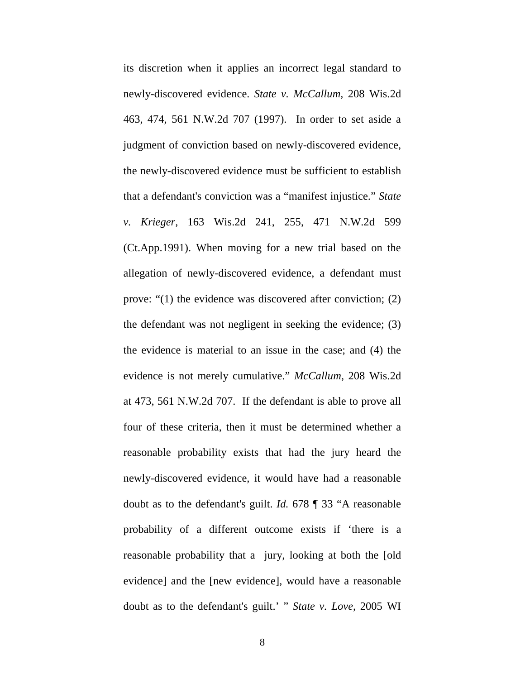its discretion when it applies an incorrect legal standard to newly-discovered evidence. *State v. McCallum*, 208 Wis.2d 463, 474, 561 N.W.2d 707 (1997). In order to set aside a judgment of conviction based on newly-discovered evidence, the newly-discovered evidence must be sufficient to establish that a defendant's conviction was a "manifest injustice." *State v. Krieger*, 163 Wis.2d 241, 255, 471 N.W.2d 599 (Ct.App.1991). When moving for a new trial based on the allegation of newly-discovered evidence, a defendant must prove: "(1) the evidence was discovered after conviction; (2) the defendant was not negligent in seeking the evidence; (3) the evidence is material to an issue in the case; and (4) the evidence is not merely cumulative." *McCallum*, 208 Wis.2d at 473, 561 N.W.2d 707. If the defendant is able to prove all four of these criteria, then it must be determined whether a reasonable probability exists that had the jury heard the newly-discovered evidence, it would have had a reasonable doubt as to the defendant's guilt. *Id.* 678 ¶ 33 "A reasonable probability of a different outcome exists if 'there is a reasonable probability that a jury, looking at both the [old evidence] and the [new evidence], would have a reasonable doubt as to the defendant's guilt.' " *State v. Love*, 2005 WI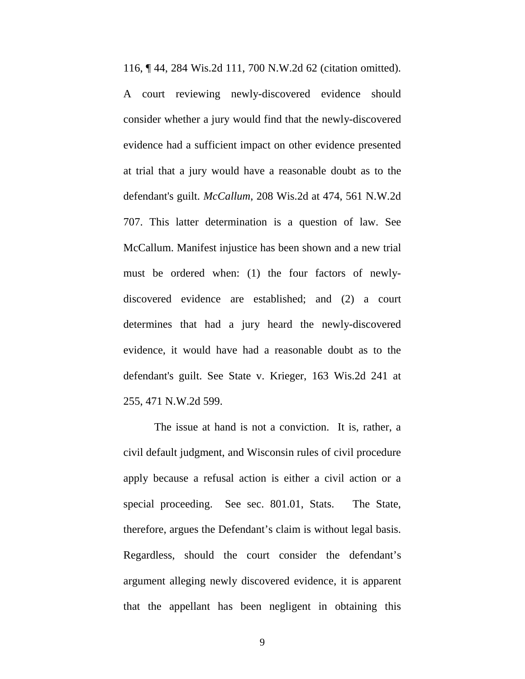116, ¶ 44, 284 Wis.2d 111, 700 N.W.2d 62 (citation omitted). A court reviewing newly-discovered evidence should consider whether a jury would find that the newly-discovered evidence had a sufficient impact on other evidence presented at trial that a jury would have a reasonable doubt as to the defendant's guilt. *McCallum*, 208 Wis.2d at 474, 561 N.W.2d 707. This latter determination is a question of law. See McCallum. Manifest injustice has been shown and a new trial must be ordered when: (1) the four factors of newlydiscovered evidence are established; and (2) a court determines that had a jury heard the newly-discovered evidence, it would have had a reasonable doubt as to the defendant's guilt. See State v. Krieger, 163 Wis.2d 241 at 255, 471 N.W.2d 599.

The issue at hand is not a conviction. It is, rather, a civil default judgment, and Wisconsin rules of civil procedure apply because a refusal action is either a civil action or a special proceeding. See sec. 801.01, Stats. The State, therefore, argues the Defendant's claim is without legal basis. Regardless, should the court consider the defendant's argument alleging newly discovered evidence, it is apparent that the appellant has been negligent in obtaining this

9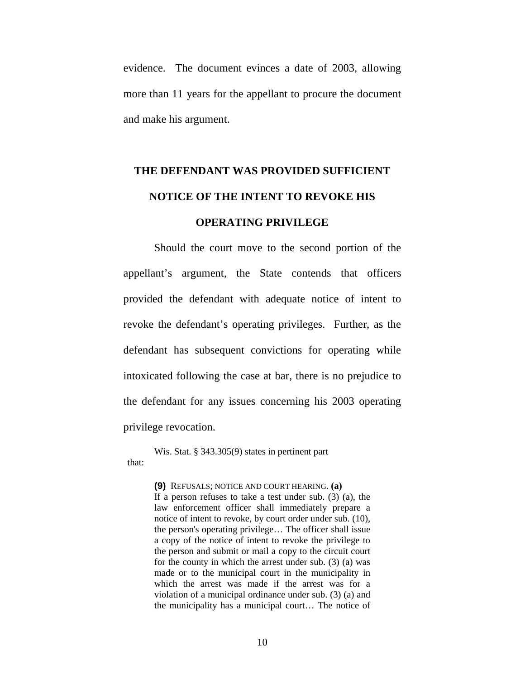evidence. The document evinces a date of 2003, allowing more than 11 years for the appellant to procure the document and make his argument.

# **THE DEFENDANT WAS PROVIDED SUFFICIENT NOTICE OF THE INTENT TO REVOKE HIS OPERATING PRIVILEGE**

Should the court move to the second portion of the appellant's argument, the State contends that officers provided the defendant with adequate notice of intent to revoke the defendant's operating privileges. Further, as the defendant has subsequent convictions for operating while intoxicated following the case at bar, there is no prejudice to the defendant for any issues concerning his 2003 operating privilege revocation.

Wis. Stat. § 343.305(9) states in pertinent part that:

> **(9)** REFUSALS; NOTICE AND COURT HEARING. **(a)** If a person refuses to take a test under sub. (3) (a), the law enforcement officer shall immediately prepare a notice of intent to revoke, by court order under sub. (10), the person's operating privilege… The officer shall issue a copy of the notice of intent to revoke the privilege to the person and submit or mail a copy to the circuit court for the county in which the arrest under sub. (3) (a) was made or to the municipal court in the municipality in which the arrest was made if the arrest was for a violation of a municipal ordinance under sub. (3) (a) and the municipality has a municipal court… The notice of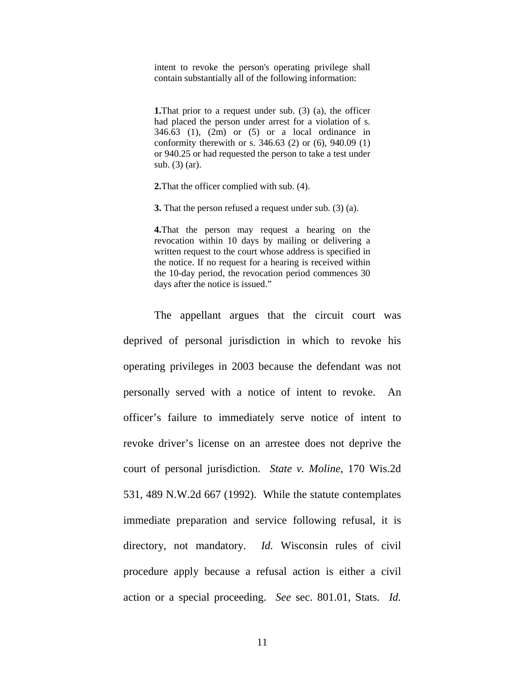intent to revoke the person's operating privilege shall contain substantially all of the following information:

**1.**That prior to a request under sub. (3) (a), the officer had placed the person under arrest for a violation of s.  $346.63$  (1), (2m) or (5) or a local ordinance in conformity therewith or s. 346.63 (2) or (6), 940.09 (1) or 940.25 or had requested the person to take a test under sub. (3) (ar).

**2.**That the officer complied with sub. (4).

**3.** That the person refused a request under sub. (3) (a).

**4.**That the person may request a hearing on the revocation within 10 days by mailing or delivering a written request to the court whose address is specified in the notice. If no request for a hearing is received within the 10-day period, the revocation period commences 30 days after the notice is issued."

The appellant argues that the circuit court was deprived of personal jurisdiction in which to revoke his operating privileges in 2003 because the defendant was not personally served with a notice of intent to revoke. An officer's failure to immediately serve notice of intent to revoke driver's license on an arrestee does not deprive the court of personal jurisdiction. *State v. Moline*, 170 Wis.2d 531, 489 N.W.2d 667 (1992). While the statute contemplates immediate preparation and service following refusal, it is directory, not mandatory. *Id.* Wisconsin rules of civil procedure apply because a refusal action is either a civil action or a special proceeding. *See* sec. 801.01, Stats. *Id.*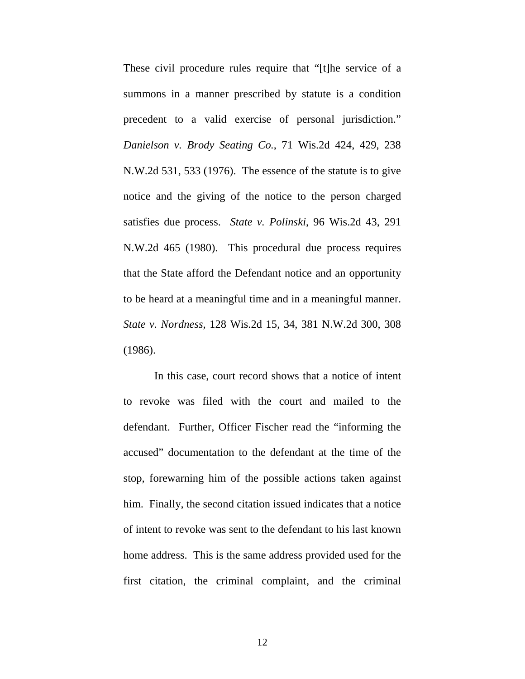These civil procedure rules require that "[t]he service of a summons in a manner prescribed by statute is a condition precedent to a valid exercise of personal jurisdiction." *Danielson v. Brody Seating Co.*, 71 Wis.2d 424, 429, 238 N.W.2d 531, 533 (1976). The essence of the statute is to give notice and the giving of the notice to the person charged satisfies due process. *State v. Polinski*, 96 Wis.2d 43, 291 N.W.2d 465 (1980). This procedural due process requires that the State afford the Defendant notice and an opportunity to be heard at a meaningful time and in a meaningful manner. *State v. Nordness*, 128 Wis.2d 15, 34, 381 N.W.2d 300, 308 (1986).

In this case, court record shows that a notice of intent to revoke was filed with the court and mailed to the defendant. Further, Officer Fischer read the "informing the accused" documentation to the defendant at the time of the stop, forewarning him of the possible actions taken against him. Finally, the second citation issued indicates that a notice of intent to revoke was sent to the defendant to his last known home address. This is the same address provided used for the first citation, the criminal complaint, and the criminal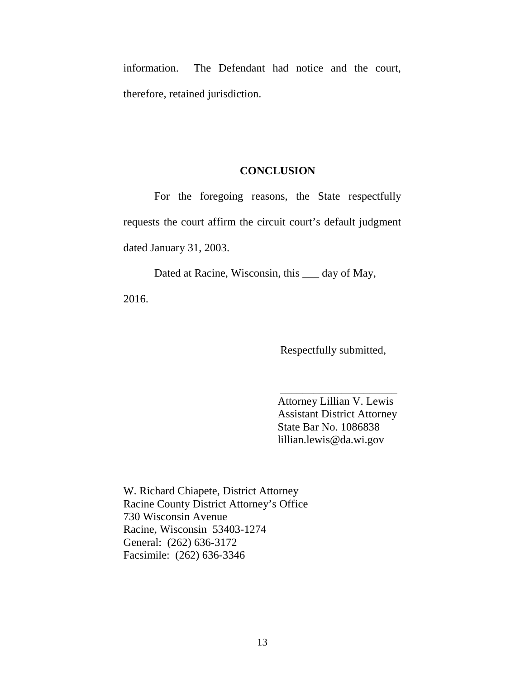information. The Defendant had notice and the court, therefore, retained jurisdiction.

#### **CONCLUSION**

For the foregoing reasons, the State respectfully requests the court affirm the circuit court's default judgment dated January 31, 2003.

Dated at Racine, Wisconsin, this \_\_\_ day of May, 2016.

Respectfully submitted,

Attorney Lillian V. Lewis Assistant District Attorney State Bar No. 1086838 lillian.lewis@da.wi.gov

\_\_\_\_\_\_\_\_\_\_\_\_\_\_\_\_\_\_\_\_\_

W. Richard Chiapete, District Attorney Racine County District Attorney's Office 730 Wisconsin Avenue Racine, Wisconsin 53403-1274 General: (262) 636-3172 Facsimile: (262) 636-3346